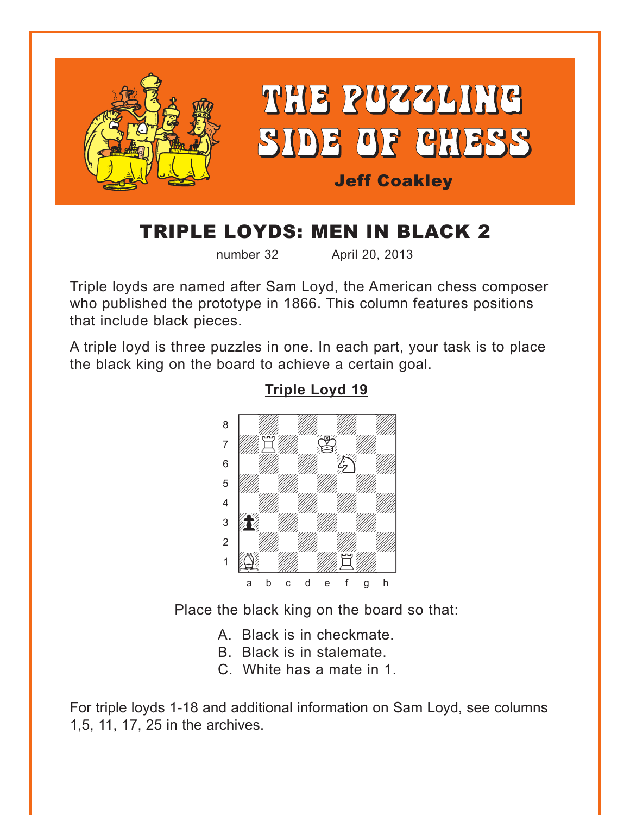<span id="page-0-0"></span>

# TRIPLE LOYDS: MEN IN BLACK 2

number 32 April 20, 2013

Triple loyds are named after Sam Loyd, the American chess composer who published the prototype in 1866. This column features positions that include black pieces.

A triple loyd is three puzzles in one. In each part, your task is to place the black king on the board to achieve a certain goal.



### **[Triple Loyd 19](#page-3-0)**

Place the black king on the board so that:

- A. Black is in checkmate.
- B. Black is in stalemate.
- C. White has a mate in 1.

For triple loyds 1-18 and additional information on Sam Loyd, see columns 1,5, 11, 17, 25 in the archives.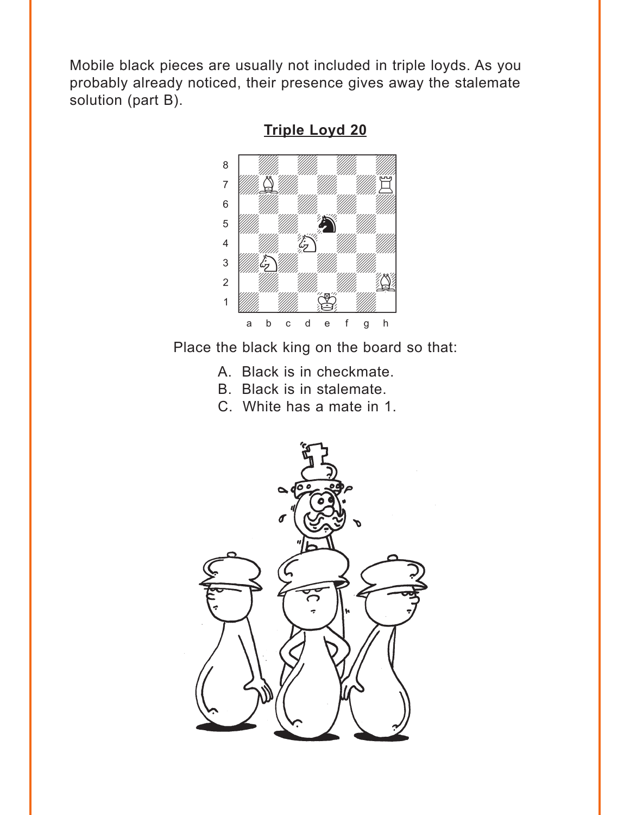<span id="page-1-0"></span>Mobile black pieces are usually not included in triple loyds. As you probably already noticed, their presence gives away the stalemate solution (part B).



**Triple Loyd 20** 

Place the black king on the board so that:

- A. Black is in checkmate.
- B. Black is in stalemate.
- C. White has a mate in 1.

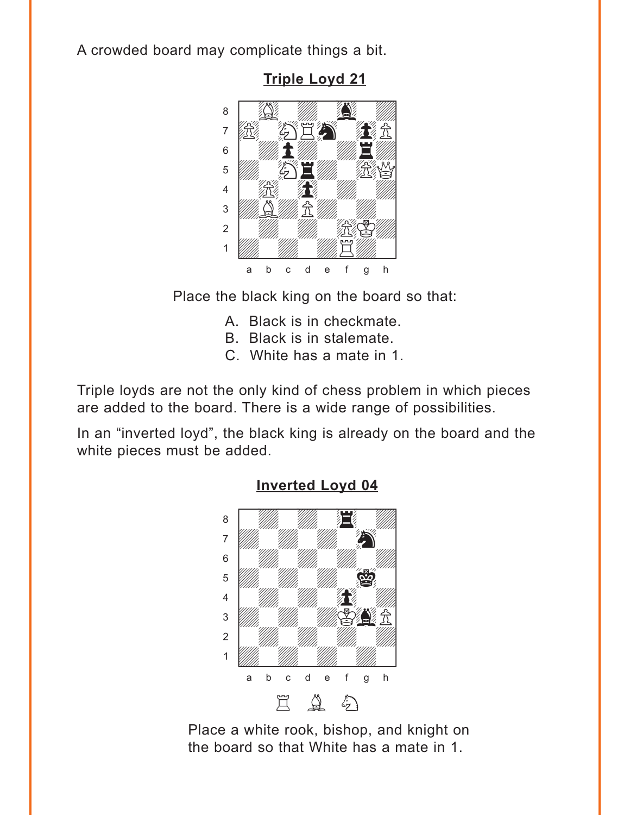<span id="page-2-0"></span>A crowded board may complicate things a bit.



**Triple Loyd 21** 

Place the black king on the board so that:

- A. Black is in checkmate.
- B. Black is in stalemate.
- C. White has a mate in 1.

Triple loyds are not the only kind of chess problem in which pieces are added to the board. There is a wide range of possibilities.

In an "inverted loyd", the black king is already on the board and the white pieces must be added.



#### **Inverted Loyd 04**

Place a white rook, bishop, and knight on the board so that White has a mate in 1.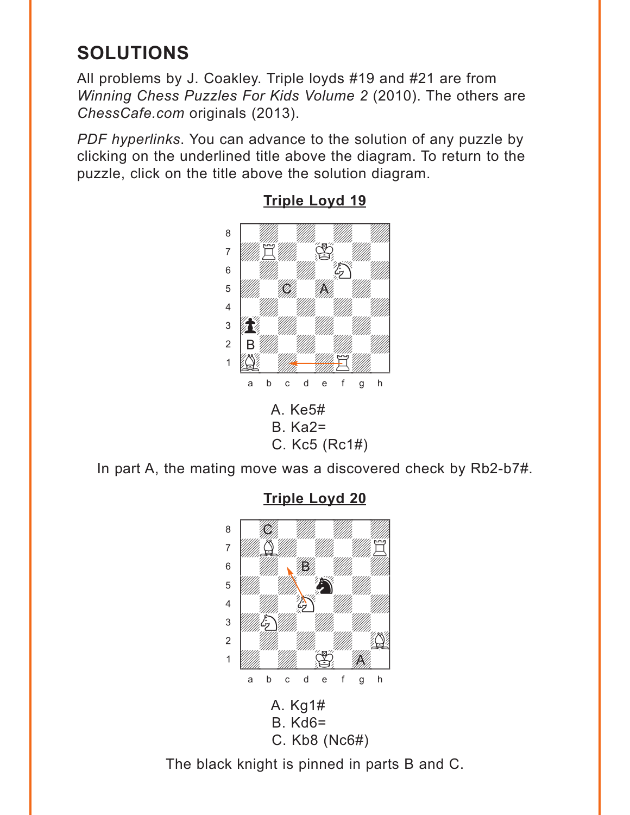## <span id="page-3-0"></span>**SOLUTIONS**

All problems by J. Coakley. Triple loyds #19 and #21 are from *Winning Chess Puzzles For Kids Volume 2* (2010). The others are *ChessCafe.com* originals (2013).

*PDF hyperlinks*. You can advance to the solution of any puzzle by clicking on the underlined title above the diagram. To return to the puzzle, click on the title above the solution diagram.



**[Triple Loyd 19](#page-0-0)**

In part A, the mating move was a discovered check by Rb2-b7#.



**[Triple Loyd 20](#page-1-0)**

The black knight is pinned in parts B and C.